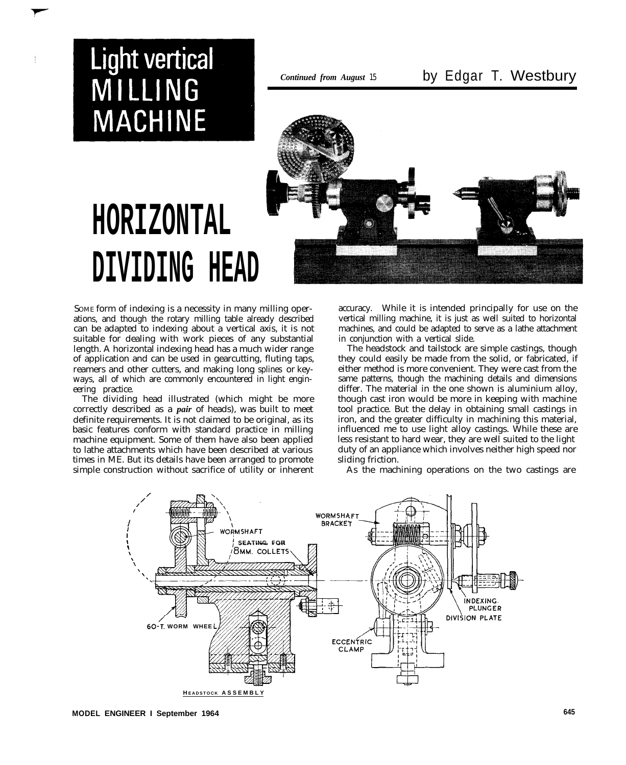## **Light vertical** MILLING **MACHINE**



# **HORIZONTAL DIVIDING HEAD**

SOME form of indexing is a necessity in many milling operations, and though the rotary milling table already described can be adapted to indexing about a vertical axis, it is not suitable for dealing with work pieces of any substantial length. A horizontal indexing head has a much wider range of application and can be used in gearcutting, fluting taps, reamers and other cutters, and making long splines or keyways, all of which are commonly encountered in light engineering practice.

The dividing head illustrated (which might be more correctly described as a *pair* of heads), was built to meet definite requirements. It is not claimed to be original, as its basic features conform with standard practice in milling machine equipment. Some of them have also been applied to lathe attachments which have been described at various times in ME. But its details have been arranged to promote simple construction without sacrifice of utility or inherent accuracy. While it is intended principally for use on the vertical milling machine, it is just as well suited to horizontal machines, and could be adapted to serve as a lathe attachment in conjunction with a vertical slide.

The headstock and tailstock are simple castings, though they could easily be made from the solid, or fabricated, if either method is more convenient. They were cast from the same patterns, though the machining details and dimensions differ. The material in the one shown is aluminium alloy, though cast iron would be more in keeping with machine tool practice. But the delay in obtaining small castings in iron, and the greater difficulty in machining this material, influenced me to use light alloy castings. While these are less resistant to hard wear, they are well suited to the light duty of an appliance which involves neither high speed nor sliding friction.

As the machining operations on the two castings are

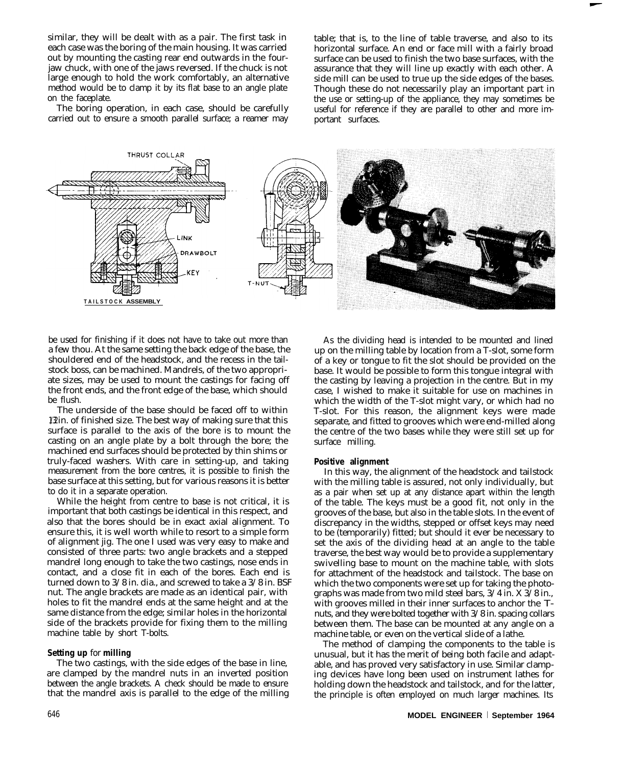similar, they will be dealt with as a pair. The first task in each case was the boring of the main housing. It was carried out by mounting the casting rear end outwards in the fourjaw chuck, with one of the jaws reversed. If the chuck is not large enough to hold the work comfortably, an alternative method would be to clamp it by its flat base to an angle plate on the faceplate.

The boring operation, in each case, should be carefully carried out to ensure a smooth parallel surface; a reamer may table; that is, to the line of table traverse, and also to its horizontal surface. An end or face mill with a fairly broad surface can be used to finish the two base surfaces, with the assurance that they will line up exactly with each other. A side mill can be used to true up the side edges of the bases. Though these do not necessarily play an important part in the use or setting-up of the appliance, they may sometimes be useful for reference if they are parallel to other and more important surfaces.



be used for finishing if it does not have to take out more than a few thou. At the same setting the back edge of the base, the shouldered end of the headstock, and the recess in the tailstock boss, can be machined. Mandrels, of the two appropriate sizes, may be used to mount the castings for facing off the front ends, and the front edge of the base, which should be flush.

The underside of the base should be faced off to within 1/2 in. of finished size. The best way of making sure that this surface is parallel to the axis of the bore is to mount the casting on an angle plate by a bolt through the bore; the machined end surfaces should be protected by thin shims or truly-faced washers. With care in setting-up, and taking measurement from the bore centres, it is possible to finish the base surface at this setting, but for various reasons it is better to do it in a separate operation.

While the height from centre to base is not critical, it is important that both castings be identical in this respect, and also that the bores should be in exact axial alignment. To ensure this, it is well worth while to resort to a simple form of alignment jig. The one I used was very easy to make and consisted of three parts: two angle brackets and a stepped mandrel long enough to take the two castings, nose ends in contact, and a close fit in each of the bores. Each end is turned down to 3/8 in. dia., and screwed to take a 3/8 in. BSF nut. The angle brackets are made as an identical pair, with holes to fit the mandrel ends at the same height and at the same distance from the edge; similar holes in the horizontal side of the brackets provide for fixing them to the milling machine table by short T-bolts.

### **Setting up** for **milling**

The two castings, with the side edges of the base in line, are clamped by the mandrel nuts in an inverted position between the angle brackets. A check should be made to ensure that the mandrel axis is parallel to the edge of the milling

As the dividing head is intended to be mounted and lined up on the milling table by location from a T-slot, some form of a key or tongue to fit the slot should be provided on the base. It would be possible to form this tongue integral with the casting by leaving a projection in the centre. But in my case, I wished to make it suitable for use on machines in which the width of the T-slot might vary, or which had no T-slot. For this reason, the alignment keys were made separate, and fitted to grooves which were end-milled along the centre of the two bases while they were still set up for surface milling.

#### **Positive alignment**

In this way, the alignment of the headstock and tailstock with the milling table is assured, not only individually, but as a pair when set up at any distance apart within the length of the table. The keys must be a good fit, not only in the grooves of the base, but also in the table slots. In the event of discrepancy in the widths, stepped or offset keys may need to be (temporarily) fitted; but should it ever be necessary to set the axis of the dividing head at an angle to the table traverse, the best way would be to provide a supplementary swivelling base to mount on the machine table, with slots for attachment of the headstock and tailstock. The base on which the two components were set up for taking the photographs was made from two mild steel bars, 3/4 in. X 3/8 in., with grooves milled in their inner surfaces to anchor the Tnuts, and they were bolted together with 3/8 in. spacing collars between them. The base can be mounted at any angle on a machine table, or even on the vertical slide of a lathe.

The method of clamping the components to the table is unusual, but it has the merit of being both facile and adaptable, and has proved very satisfactory in use. Similar clamping devices have long been used on instrument lathes for holding down the headstock and tailstock, and for the latter, the principle is often employed on much larger machines. Its